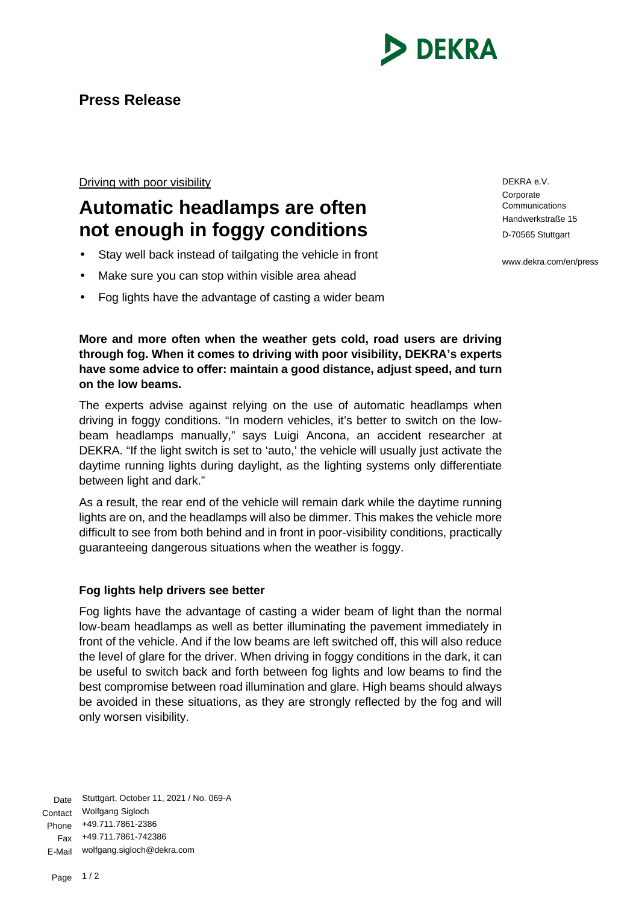

# Driving with poor visibility

# **Automatic headlamps are often not enough in foggy conditions**

- Stay well back instead of tailgating the vehicle in front
- Make sure you can stop within visible area ahead
- Fog lights have the advantage of casting a wider beam

**More and more often when the weather gets cold, road users are driving through fog. When it comes to driving with poor visibility, DEKRA's experts have some advice to offer: maintain a good distance, adjust speed, and turn on the low beams.**

The experts advise against relying on the use of automatic headlamps when driving in foggy conditions. "In modern vehicles, it's better to switch on the lowbeam headlamps manually," says Luigi Ancona, an accident researcher at DEKRA. "If the light switch is set to 'auto,' the vehicle will usually just activate the daytime running lights during daylight, as the lighting systems only differentiate between light and dark."

As a result, the rear end of the vehicle will remain dark while the daytime running lights are on, and the headlamps will also be dimmer. This makes the vehicle more difficult to see from both behind and in front in poor-visibility conditions, practically guaranteeing dangerous situations when the weather is foggy.

## **Fog lights help drivers see better**

Fog lights have the advantage of casting a wider beam of light than the normal low-beam headlamps as well as better illuminating the pavement immediately in front of the vehicle. And if the low beams are left switched off, this will also reduce the level of glare for the driver. When driving in foggy conditions in the dark, it can be useful to switch back and forth between fog lights and low beams to find the best compromise between road illumination and glare. High beams should always be avoided in these situations, as they are strongly reflected by the fog and will only worsen visibility.

Date Stuttgart, October 11, 2021 / No. 069-A Contact Wolfgang Sigloch Phone +49.711.7861-2386 Fax +49.711.7861-742386 E-Mail wolfgang.sigloch@dekra.com

DEKRA e.V. **Corporate Communications** Handwerkstraße 15 D-70565 Stuttgart

www.dekra.com/en/press